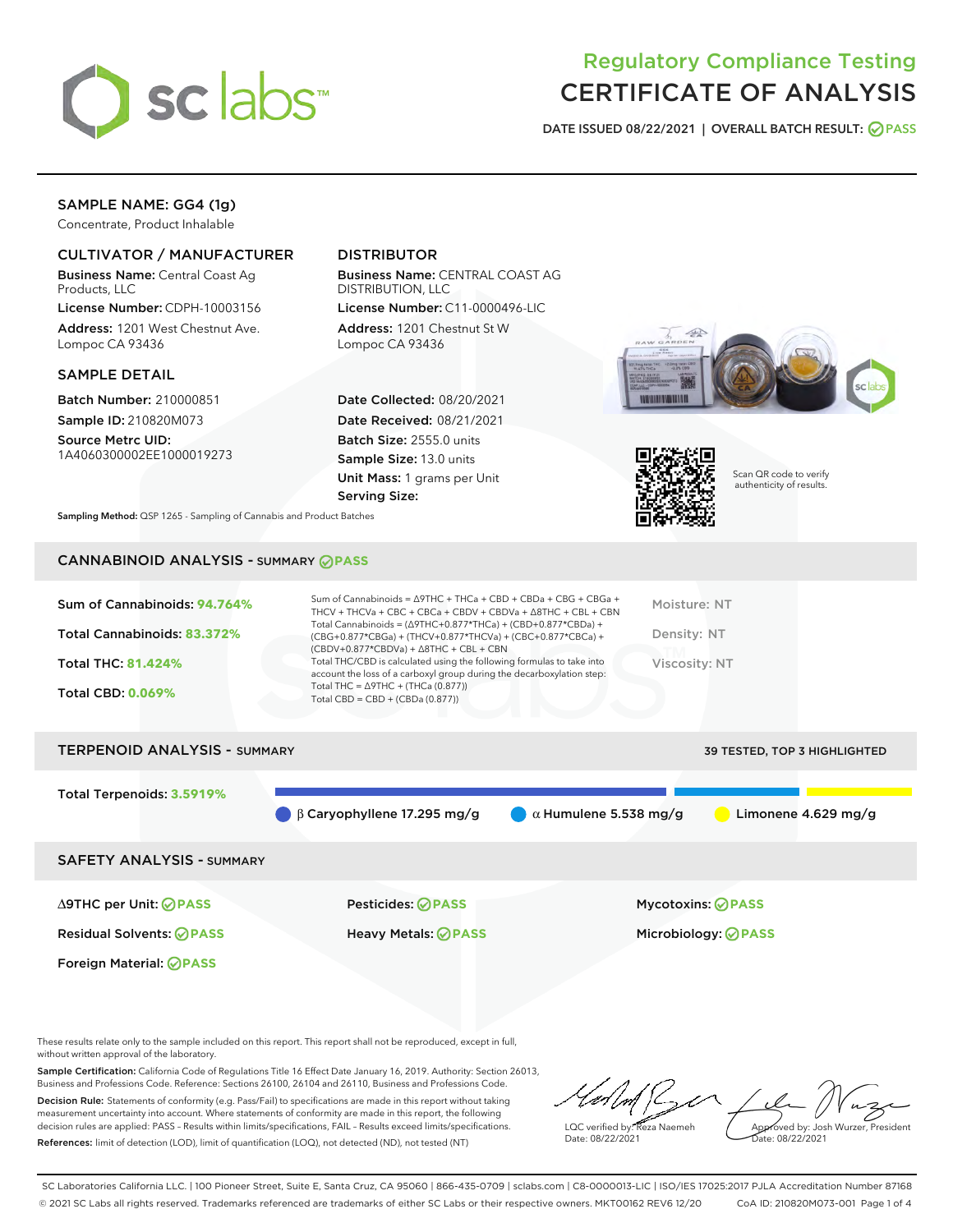

# Regulatory Compliance Testing CERTIFICATE OF ANALYSIS

DATE ISSUED 08/22/2021 | OVERALL BATCH RESULT: @ PASS

# SAMPLE NAME: GG4 (1g)

Concentrate, Product Inhalable

# CULTIVATOR / MANUFACTURER

Business Name: Central Coast Ag Products, LLC

License Number: CDPH-10003156 Address: 1201 West Chestnut Ave. Lompoc CA 93436

#### SAMPLE DETAIL

Batch Number: 210000851 Sample ID: 210820M073

Source Metrc UID: 1A4060300002EE1000019273

# DISTRIBUTOR

Business Name: CENTRAL COAST AG DISTRIBUTION, LLC License Number: C11-0000496-LIC

Address: 1201 Chestnut St W Lompoc CA 93436

Date Collected: 08/20/2021 Date Received: 08/21/2021 Batch Size: 2555.0 units Sample Size: 13.0 units Unit Mass: 1 grams per Unit Serving Size:





Scan QR code to verify authenticity of results.

Sampling Method: QSP 1265 - Sampling of Cannabis and Product Batches

# CANNABINOID ANALYSIS - SUMMARY **PASS**

| Total Cannabinoids = $(\Delta$ 9THC+0.877*THCa) + (CBD+0.877*CBDa) +<br>Total Cannabinoids: 83.372%<br>Density: NT<br>(CBG+0.877*CBGa) + (THCV+0.877*THCVa) + (CBC+0.877*CBCa) +<br>$(CBDV+0.877*CBDVa) + \Delta 8THC + CBL + CBN$<br>Total THC/CBD is calculated using the following formulas to take into<br><b>Total THC: 81.424%</b><br>Viscosity: NT<br>account the loss of a carboxyl group during the decarboxylation step:<br>Total THC = $\triangle$ 9THC + (THCa (0.877))<br><b>Total CBD: 0.069%</b><br>Total CBD = $CBD + (CBDa (0.877))$ | Sum of Cannabinoids: 94.764% | Sum of Cannabinoids = ∆9THC + THCa + CBD + CBDa + CBG + CBGa +<br>THCV + THCVa + CBC + CBCa + CBDV + CBDVa + $\Delta$ 8THC + CBL + CBN | Moisture: NT |
|-------------------------------------------------------------------------------------------------------------------------------------------------------------------------------------------------------------------------------------------------------------------------------------------------------------------------------------------------------------------------------------------------------------------------------------------------------------------------------------------------------------------------------------------------------|------------------------------|----------------------------------------------------------------------------------------------------------------------------------------|--------------|
|                                                                                                                                                                                                                                                                                                                                                                                                                                                                                                                                                       |                              |                                                                                                                                        |              |
|                                                                                                                                                                                                                                                                                                                                                                                                                                                                                                                                                       |                              |                                                                                                                                        |              |
|                                                                                                                                                                                                                                                                                                                                                                                                                                                                                                                                                       |                              |                                                                                                                                        |              |

| <b>TERPENOID ANALYSIS - SUMMARY</b> | 39 TESTED, TOP 3 HIGHLIGHTED                 |                              |                       |
|-------------------------------------|----------------------------------------------|------------------------------|-----------------------|
| Total Terpenoids: 3.5919%           |                                              |                              |                       |
|                                     | $\bigcirc$ $\beta$ Caryophyllene 17.295 mg/g | $\alpha$ Humulene 5.538 mg/g | Limonene $4.629$ mg/g |
| <b>SAFETY ANALYSIS - SUMMARY</b>    |                                              |                              |                       |
|                                     |                                              |                              |                       |

Foreign Material: **PASS**

Residual Solvents: **PASS** Heavy Metals: **PASS** Microbiology: **PASS**

∆9THC per Unit: **PASS** Pesticides: **PASS** Mycotoxins: **PASS**

These results relate only to the sample included on this report. This report shall not be reproduced, except in full, without written approval of the laboratory.

Sample Certification: California Code of Regulations Title 16 Effect Date January 16, 2019. Authority: Section 26013, Business and Professions Code. Reference: Sections 26100, 26104 and 26110, Business and Professions Code. Decision Rule: Statements of conformity (e.g. Pass/Fail) to specifications are made in this report without taking measurement uncertainty into account. Where statements of conformity are made in this report, the following decision rules are applied: PASS – Results within limits/specifications, FAIL – Results exceed limits/specifications.

References: limit of detection (LOD), limit of quantification (LOQ), not detected (ND), not tested (NT)

LQC verified by: Reza Naemeh Date: 08/22/2021 Approved by: Josh Wurzer, President ate: 08/22/2021

SC Laboratories California LLC. | 100 Pioneer Street, Suite E, Santa Cruz, CA 95060 | 866-435-0709 | sclabs.com | C8-0000013-LIC | ISO/IES 17025:2017 PJLA Accreditation Number 87168 © 2021 SC Labs all rights reserved. Trademarks referenced are trademarks of either SC Labs or their respective owners. MKT00162 REV6 12/20 CoA ID: 210820M073-001 Page 1 of 4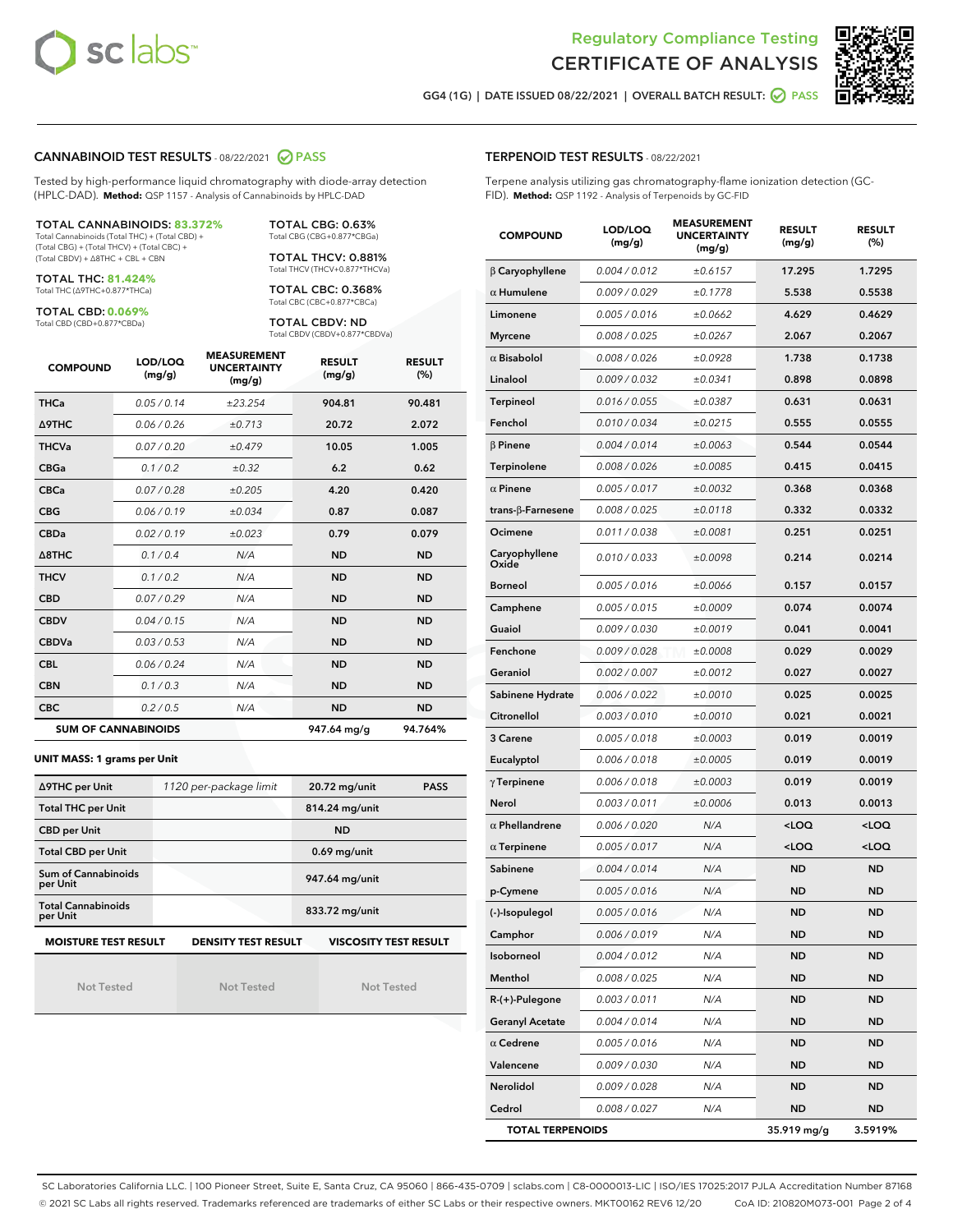



GG4 (1G) | DATE ISSUED 08/22/2021 | OVERALL BATCH RESULT: ● PASS

#### CANNABINOID TEST RESULTS - 08/22/2021 2 PASS

Tested by high-performance liquid chromatography with diode-array detection (HPLC-DAD). **Method:** QSP 1157 - Analysis of Cannabinoids by HPLC-DAD

#### TOTAL CANNABINOIDS: **83.372%**

Total Cannabinoids (Total THC) + (Total CBD) + (Total CBG) + (Total THCV) + (Total CBC) + (Total CBDV) + ∆8THC + CBL + CBN

TOTAL THC: **81.424%** Total THC (∆9THC+0.877\*THCa)

TOTAL CBD: **0.069%**

Total CBD (CBD+0.877\*CBDa)

TOTAL CBG: 0.63% Total CBG (CBG+0.877\*CBGa)

TOTAL THCV: 0.881% Total THCV (THCV+0.877\*THCVa)

TOTAL CBC: 0.368% Total CBC (CBC+0.877\*CBCa)

TOTAL CBDV: ND Total CBDV (CBDV+0.877\*CBDVa)

| <b>COMPOUND</b> | LOD/LOQ<br>(mg/g)          | <b>MEASUREMENT</b><br><b>UNCERTAINTY</b><br>(mg/g) | <b>RESULT</b><br>(mg/g) | <b>RESULT</b><br>(%) |
|-----------------|----------------------------|----------------------------------------------------|-------------------------|----------------------|
| <b>THCa</b>     | 0.05 / 0.14                | ±23.254                                            | 904.81                  | 90.481               |
| <b>A9THC</b>    | 0.06 / 0.26                | ±0.713                                             | 20.72                   | 2.072                |
| <b>THCVa</b>    | 0.07 / 0.20                | ±0.479                                             | 10.05                   | 1.005                |
| <b>CBGa</b>     | 0.1/0.2                    | $\pm 0.32$                                         | 6.2                     | 0.62                 |
| <b>CBCa</b>     | 0.07/0.28                  | ±0.205                                             | 4.20                    | 0.420                |
| <b>CBG</b>      | 0.06/0.19                  | ±0.034                                             | 0.87                    | 0.087                |
| <b>CBDa</b>     | 0.02/0.19                  | ±0.023                                             | 0.79                    | 0.079                |
| A8THC           | 0.1/0.4                    | N/A                                                | <b>ND</b>               | <b>ND</b>            |
| <b>THCV</b>     | 0.1/0.2                    | N/A                                                | <b>ND</b>               | <b>ND</b>            |
| <b>CBD</b>      | 0.07/0.29                  | N/A                                                | <b>ND</b>               | <b>ND</b>            |
| <b>CBDV</b>     | 0.04 / 0.15                | N/A                                                | <b>ND</b>               | <b>ND</b>            |
| <b>CBDVa</b>    | 0.03/0.53                  | N/A                                                | <b>ND</b>               | <b>ND</b>            |
| <b>CBL</b>      | 0.06 / 0.24                | N/A                                                | <b>ND</b>               | <b>ND</b>            |
| <b>CBN</b>      | 0.1/0.3                    | N/A                                                | <b>ND</b>               | <b>ND</b>            |
| <b>CBC</b>      | 0.2 / 0.5                  | N/A                                                | <b>ND</b>               | <b>ND</b>            |
|                 | <b>SUM OF CANNABINOIDS</b> |                                                    | 947.64 mg/g             | 94.764%              |

#### **UNIT MASS: 1 grams per Unit**

| ∆9THC per Unit                         | 1120 per-package limit     | 20.72 mg/unit<br><b>PASS</b> |  |
|----------------------------------------|----------------------------|------------------------------|--|
| <b>Total THC per Unit</b>              |                            | 814.24 mg/unit               |  |
| <b>CBD per Unit</b>                    |                            | <b>ND</b>                    |  |
| <b>Total CBD per Unit</b>              |                            | $0.69$ mg/unit               |  |
| <b>Sum of Cannabinoids</b><br>per Unit |                            | 947.64 mg/unit               |  |
| <b>Total Cannabinoids</b><br>per Unit  |                            | 833.72 mg/unit               |  |
| <b>MOISTURE TEST RESULT</b>            | <b>DENSITY TEST RESULT</b> | <b>VISCOSITY TEST RESULT</b> |  |

Not Tested

Not Tested

Not Tested

#### TERPENOID TEST RESULTS - 08/22/2021

Terpene analysis utilizing gas chromatography-flame ionization detection (GC-FID). **Method:** QSP 1192 - Analysis of Terpenoids by GC-FID

| <b>COMPOUND</b>          | LOD/LOQ<br>(mg/g) | <b>MEASUREMENT</b><br><b>UNCERTAINTY</b><br>(mg/g) | <b>RESULT</b><br>(mg/g)                         | <b>RESULT</b><br>(%) |
|--------------------------|-------------------|----------------------------------------------------|-------------------------------------------------|----------------------|
| $\beta$ Caryophyllene    | 0.004 / 0.012     | ±0.6157                                            | 17.295                                          | 1.7295               |
| $\alpha$ Humulene        | 0.009/0.029       | ±0.1778                                            | 5.538                                           | 0.5538               |
| Limonene                 | 0.005 / 0.016     | ±0.0662                                            | 4.629                                           | 0.4629               |
| <b>Myrcene</b>           | 0.008 / 0.025     | ±0.0267                                            | 2.067                                           | 0.2067               |
| $\alpha$ Bisabolol       | 0.008 / 0.026     | ±0.0928                                            | 1.738                                           | 0.1738               |
| Linalool                 | 0.009 / 0.032     | ±0.0341                                            | 0.898                                           | 0.0898               |
| <b>Terpineol</b>         | 0.016 / 0.055     | ±0.0387                                            | 0.631                                           | 0.0631               |
| Fenchol                  | 0.010 / 0.034     | ±0.0215                                            | 0.555                                           | 0.0555               |
| $\beta$ Pinene           | 0.004 / 0.014     | ±0.0063                                            | 0.544                                           | 0.0544               |
| Terpinolene              | 0.008 / 0.026     | ±0.0085                                            | 0.415                                           | 0.0415               |
| $\alpha$ Pinene          | 0.005 / 0.017     | ±0.0032                                            | 0.368                                           | 0.0368               |
| $trans-\beta$ -Farnesene | 0.008 / 0.025     | ±0.0118                                            | 0.332                                           | 0.0332               |
| Ocimene                  | 0.011 / 0.038     | ±0.0081                                            | 0.251                                           | 0.0251               |
| Caryophyllene<br>Oxide   | 0.010 / 0.033     | ±0.0098                                            | 0.214                                           | 0.0214               |
| Borneol                  | 0.005 / 0.016     | ±0.0066                                            | 0.157                                           | 0.0157               |
| Camphene                 | 0.005 / 0.015     | ±0.0009                                            | 0.074                                           | 0.0074               |
| Guaiol                   | 0.009 / 0.030     | ±0.0019                                            | 0.041                                           | 0.0041               |
| Fenchone                 | 0.009 / 0.028     | ±0.0008                                            | 0.029                                           | 0.0029               |
| Geraniol                 | 0.002 / 0.007     | ±0.0012                                            | 0.027                                           | 0.0027               |
| Sabinene Hydrate         | 0.006 / 0.022     | ±0.0010                                            | 0.025                                           | 0.0025               |
| Citronellol              | 0.003 / 0.010     | ±0.0010                                            | 0.021                                           | 0.0021               |
| 3 Carene                 | 0.005 / 0.018     | ±0.0003                                            | 0.019                                           | 0.0019               |
| Eucalyptol               | 0.006 / 0.018     | ±0.0005                                            | 0.019                                           | 0.0019               |
| $\gamma$ Terpinene       | 0.006 / 0.018     | ±0.0003                                            | 0.019                                           | 0.0019               |
| Nerol                    | 0.003 / 0.011     | ±0.0006                                            | 0.013                                           | 0.0013               |
| $\alpha$ Phellandrene    | 0.006 / 0.020     | N/A                                                | <loq< th=""><th><loq< th=""></loq<></th></loq<> | <loq< th=""></loq<>  |
| $\alpha$ Terpinene       | 0.005 / 0.017     | N/A                                                | <loq< th=""><th><loq< th=""></loq<></th></loq<> | <loq< th=""></loq<>  |
| Sabinene                 | 0.004 / 0.014     | N/A                                                | ND                                              | <b>ND</b>            |
| p-Cymene                 | 0.005 / 0.016     | N/A                                                | ND                                              | <b>ND</b>            |
| (-)-Isopulegol           | 0.005 / 0.016     | N/A                                                | <b>ND</b>                                       | <b>ND</b>            |
| Camphor                  | 0.006 / 0.019     | N/A                                                | ND                                              | ND                   |
| Isoborneol               | 0.004 / 0.012     | N/A                                                | <b>ND</b>                                       | <b>ND</b>            |
| Menthol                  | 0.008 / 0.025     | N/A                                                | <b>ND</b>                                       | ND                   |
| $R-(+)$ -Pulegone        | 0.003 / 0.011     | N/A                                                | ND                                              | <b>ND</b>            |
| <b>Geranyl Acetate</b>   | 0.004 / 0.014     | N/A                                                | ND                                              | ND                   |
| $\alpha$ Cedrene         | 0.005 / 0.016     | N/A                                                | ND                                              | ND                   |
| Valencene                | 0.009 / 0.030     | N/A                                                | ND                                              | <b>ND</b>            |
| Nerolidol                | 0.009 / 0.028     | N/A                                                | ND                                              | ND                   |
| Cedrol                   | 0.008 / 0.027     | N/A                                                | ND                                              | <b>ND</b>            |
| <b>TOTAL TERPENOIDS</b>  |                   |                                                    | 35.919 mg/g                                     | 3.5919%              |

SC Laboratories California LLC. | 100 Pioneer Street, Suite E, Santa Cruz, CA 95060 | 866-435-0709 | sclabs.com | C8-0000013-LIC | ISO/IES 17025:2017 PJLA Accreditation Number 87168 © 2021 SC Labs all rights reserved. Trademarks referenced are trademarks of either SC Labs or their respective owners. MKT00162 REV6 12/20 CoA ID: 210820M073-001 Page 2 of 4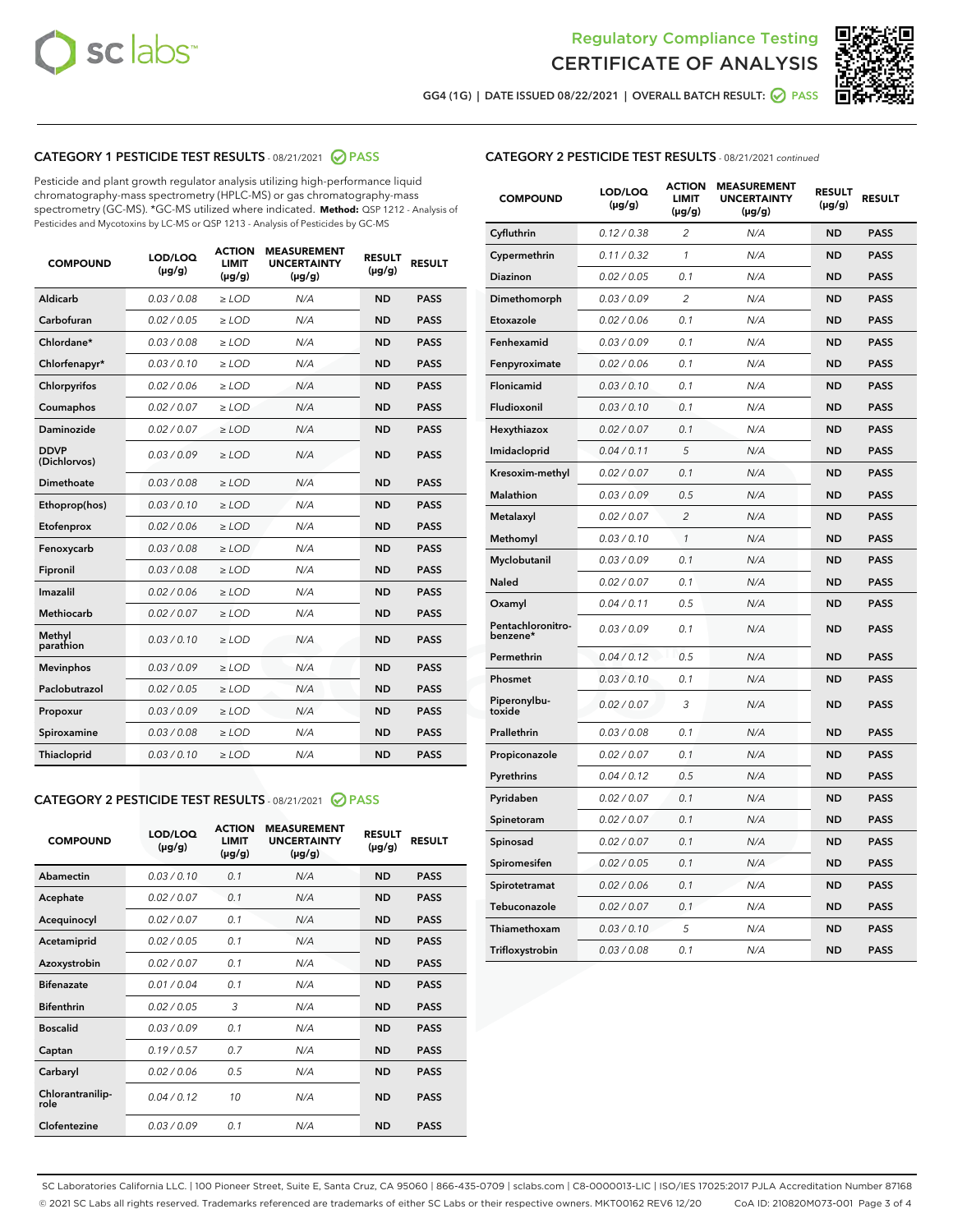



GG4 (1G) | DATE ISSUED 08/22/2021 | OVERALL BATCH RESULT: ● PASS

# CATEGORY 1 PESTICIDE TEST RESULTS - 08/21/2021 2 PASS

Pesticide and plant growth regulator analysis utilizing high-performance liquid chromatography-mass spectrometry (HPLC-MS) or gas chromatography-mass spectrometry (GC-MS). \*GC-MS utilized where indicated. **Method:** QSP 1212 - Analysis of Pesticides and Mycotoxins by LC-MS or QSP 1213 - Analysis of Pesticides by GC-MS

| <b>COMPOUND</b>             | LOD/LOQ<br>$(\mu g/g)$ | <b>ACTION</b><br><b>LIMIT</b><br>$(\mu g/g)$ | <b>MEASUREMENT</b><br><b>UNCERTAINTY</b><br>$(\mu g/g)$ | <b>RESULT</b><br>$(\mu g/g)$ | <b>RESULT</b> |
|-----------------------------|------------------------|----------------------------------------------|---------------------------------------------------------|------------------------------|---------------|
| Aldicarb                    | 0.03 / 0.08            | $\ge$ LOD                                    | N/A                                                     | <b>ND</b>                    | <b>PASS</b>   |
| Carbofuran                  | 0.02 / 0.05            | $\ge$ LOD                                    | N/A                                                     | <b>ND</b>                    | <b>PASS</b>   |
| Chlordane*                  | 0.03 / 0.08            | $\ge$ LOD                                    | N/A                                                     | <b>ND</b>                    | <b>PASS</b>   |
| Chlorfenapyr*               | 0.03/0.10              | $\ge$ LOD                                    | N/A                                                     | <b>ND</b>                    | <b>PASS</b>   |
| Chlorpyrifos                | 0.02 / 0.06            | $\ge$ LOD                                    | N/A                                                     | <b>ND</b>                    | <b>PASS</b>   |
| Coumaphos                   | 0.02 / 0.07            | $\ge$ LOD                                    | N/A                                                     | <b>ND</b>                    | <b>PASS</b>   |
| Daminozide                  | 0.02 / 0.07            | $\ge$ LOD                                    | N/A                                                     | <b>ND</b>                    | <b>PASS</b>   |
| <b>DDVP</b><br>(Dichlorvos) | 0.03/0.09              | $\ge$ LOD                                    | N/A                                                     | <b>ND</b>                    | <b>PASS</b>   |
| Dimethoate                  | 0.03 / 0.08            | $>$ LOD                                      | N/A                                                     | <b>ND</b>                    | <b>PASS</b>   |
| Ethoprop(hos)               | 0.03/0.10              | $\ge$ LOD                                    | N/A                                                     | <b>ND</b>                    | <b>PASS</b>   |
| Etofenprox                  | 0.02/0.06              | $>$ LOD                                      | N/A                                                     | <b>ND</b>                    | <b>PASS</b>   |
| Fenoxycarb                  | 0.03 / 0.08            | $\geq$ LOD                                   | N/A                                                     | <b>ND</b>                    | <b>PASS</b>   |
| Fipronil                    | 0.03 / 0.08            | $>$ LOD                                      | N/A                                                     | <b>ND</b>                    | <b>PASS</b>   |
| Imazalil                    | 0.02 / 0.06            | $\ge$ LOD                                    | N/A                                                     | <b>ND</b>                    | <b>PASS</b>   |
| <b>Methiocarb</b>           | 0.02 / 0.07            | $\ge$ LOD                                    | N/A                                                     | <b>ND</b>                    | <b>PASS</b>   |
| Methyl<br>parathion         | 0.03/0.10              | $\ge$ LOD                                    | N/A                                                     | <b>ND</b>                    | <b>PASS</b>   |
| <b>Mevinphos</b>            | 0.03/0.09              | $\ge$ LOD                                    | N/A                                                     | <b>ND</b>                    | <b>PASS</b>   |
| Paclobutrazol               | 0.02 / 0.05            | $\ge$ LOD                                    | N/A                                                     | <b>ND</b>                    | <b>PASS</b>   |
| Propoxur                    | 0.03/0.09              | $\ge$ LOD                                    | N/A                                                     | <b>ND</b>                    | <b>PASS</b>   |
| Spiroxamine                 | 0.03 / 0.08            | $\ge$ LOD                                    | N/A                                                     | <b>ND</b>                    | <b>PASS</b>   |
| <b>Thiacloprid</b>          | 0.03/0.10              | $\ge$ LOD                                    | N/A                                                     | <b>ND</b>                    | <b>PASS</b>   |

#### CATEGORY 2 PESTICIDE TEST RESULTS - 08/21/2021 @ PASS

| <b>COMPOUND</b>          | LOD/LOO<br>$(\mu g/g)$ | <b>ACTION</b><br>LIMIT<br>$(\mu g/g)$ | <b>MEASUREMENT</b><br><b>UNCERTAINTY</b><br>$(\mu g/g)$ | <b>RESULT</b><br>$(\mu g/g)$ | <b>RESULT</b> |  |
|--------------------------|------------------------|---------------------------------------|---------------------------------------------------------|------------------------------|---------------|--|
| Abamectin                | 0.03/0.10              | 0.1                                   | N/A                                                     | <b>ND</b>                    | <b>PASS</b>   |  |
| Acephate                 | 0.02/0.07              | 0.1                                   | N/A                                                     | <b>ND</b>                    | <b>PASS</b>   |  |
| Acequinocyl              | 0.02/0.07              | 0.1                                   | N/A                                                     | <b>ND</b>                    | <b>PASS</b>   |  |
| Acetamiprid              | 0.02/0.05              | 0.1                                   | N/A                                                     | <b>ND</b>                    | <b>PASS</b>   |  |
| Azoxystrobin             | 0.02/0.07              | 0.1                                   | N/A                                                     | <b>ND</b>                    | <b>PASS</b>   |  |
| <b>Bifenazate</b>        | 0.01 / 0.04            | 0.1                                   | N/A                                                     | <b>ND</b>                    | <b>PASS</b>   |  |
| <b>Bifenthrin</b>        | 0.02/0.05              | 3                                     | N/A                                                     | <b>ND</b>                    | <b>PASS</b>   |  |
| <b>Boscalid</b>          | 0.03/0.09              | 0.1                                   | N/A                                                     | <b>ND</b>                    | <b>PASS</b>   |  |
| Captan                   | 0.19/0.57              | 0.7                                   | N/A                                                     | <b>ND</b>                    | <b>PASS</b>   |  |
| Carbaryl                 | 0.02/0.06              | 0.5                                   | N/A                                                     | <b>ND</b>                    | <b>PASS</b>   |  |
| Chlorantranilip-<br>role | 0.04/0.12              | 10                                    | N/A                                                     | <b>ND</b>                    | <b>PASS</b>   |  |
| Clofentezine             | 0.03/0.09              | 0.1                                   | N/A                                                     | <b>ND</b>                    | <b>PASS</b>   |  |

| <b>COMPOUND</b>               | LOD/LOQ<br>$(\mu g/g)$ | <b>ACTION</b><br><b>LIMIT</b><br>$(\mu g/g)$ | <b>MEASUREMENT</b><br><b>UNCERTAINTY</b><br>$(\mu g/g)$ | <b>RESULT</b><br>(µg/g) | <b>RESULT</b> |
|-------------------------------|------------------------|----------------------------------------------|---------------------------------------------------------|-------------------------|---------------|
| Cyfluthrin                    | 0.12 / 0.38            | $\overline{c}$                               | N/A                                                     | ND                      | <b>PASS</b>   |
| Cypermethrin                  | 0.11 / 0.32            | 1                                            | N/A                                                     | <b>ND</b>               | <b>PASS</b>   |
| Diazinon                      | 0.02 / 0.05            | 0.1                                          | N/A                                                     | <b>ND</b>               | <b>PASS</b>   |
| Dimethomorph                  | 0.03 / 0.09            | 2                                            | N/A                                                     | <b>ND</b>               | PASS          |
| Etoxazole                     | 0.02 / 0.06            | 0.1                                          | N/A                                                     | ND                      | <b>PASS</b>   |
| Fenhexamid                    | 0.03 / 0.09            | 0.1                                          | N/A                                                     | ND                      | <b>PASS</b>   |
| Fenpyroximate                 | 0.02 / 0.06            | 0.1                                          | N/A                                                     | ND                      | PASS          |
| <b>Flonicamid</b>             | 0.03/0.10              | 0.1                                          | N/A                                                     | ND                      | <b>PASS</b>   |
| Fludioxonil                   | 0.03 / 0.10            | 0.1                                          | N/A                                                     | <b>ND</b>               | <b>PASS</b>   |
| Hexythiazox                   | 0.02 / 0.07            | 0.1                                          | N/A                                                     | ND                      | <b>PASS</b>   |
| Imidacloprid                  | 0.04 / 0.11            | 5                                            | N/A                                                     | <b>ND</b>               | <b>PASS</b>   |
| Kresoxim-methyl               | 0.02 / 0.07            | 0.1                                          | N/A                                                     | <b>ND</b>               | <b>PASS</b>   |
| <b>Malathion</b>              | 0.03 / 0.09            | 0.5                                          | N/A                                                     | <b>ND</b>               | <b>PASS</b>   |
| Metalaxyl                     | 0.02 / 0.07            | $\overline{2}$                               | N/A                                                     | <b>ND</b>               | <b>PASS</b>   |
| Methomyl                      | 0.03 / 0.10            | 1                                            | N/A                                                     | ND                      | <b>PASS</b>   |
| Myclobutanil                  | 0.03 / 0.09            | 0.1                                          | N/A                                                     | ND                      | <b>PASS</b>   |
| Naled                         | 0.02 / 0.07            | 0.1                                          | N/A                                                     | ND                      | PASS          |
| Oxamyl                        | 0.04 / 0.11            | 0.5                                          | N/A                                                     | ND                      | PASS          |
| Pentachloronitro-<br>benzene* | 0.03 / 0.09            | 0.1                                          | N/A                                                     | ND                      | PASS          |
| Permethrin                    | 0.04 / 0.12            | 0.5                                          | N/A                                                     | <b>ND</b>               | <b>PASS</b>   |
| Phosmet                       | 0.03 / 0.10            | 0.1                                          | N/A                                                     | <b>ND</b>               | <b>PASS</b>   |
| Piperonylbu-<br>toxide        | 0.02 / 0.07            | 3                                            | N/A                                                     | ND                      | <b>PASS</b>   |
| Prallethrin                   | 0.03 / 0.08            | 0.1                                          | N/A                                                     | <b>ND</b>               | <b>PASS</b>   |
| Propiconazole                 | 0.02 / 0.07            | 0.1                                          | N/A                                                     | <b>ND</b>               | <b>PASS</b>   |
| Pyrethrins                    | 0.04 / 0.12            | 0.5                                          | N/A                                                     | <b>ND</b>               | <b>PASS</b>   |
| Pyridaben                     | 0.02 / 0.07            | 0.1                                          | N/A                                                     | <b>ND</b>               | <b>PASS</b>   |
| Spinetoram                    | 0.02 / 0.07            | 0.1                                          | N/A                                                     | ND                      | <b>PASS</b>   |
| Spinosad                      | 0.02 / 0.07            | 0.1                                          | N/A                                                     | ND                      | <b>PASS</b>   |
| Spiromesifen                  | 0.02 / 0.05            | 0.1                                          | N/A                                                     | <b>ND</b>               | <b>PASS</b>   |
| Spirotetramat                 | 0.02 / 0.06            | 0.1                                          | N/A                                                     | <b>ND</b>               | <b>PASS</b>   |
| Tebuconazole                  | 0.02 / 0.07            | 0.1                                          | N/A                                                     | ND                      | <b>PASS</b>   |
| Thiamethoxam                  | 0.03 / 0.10            | 5                                            | N/A                                                     | ND                      | <b>PASS</b>   |
| Trifloxystrobin               | 0.03 / 0.08            | 0.1                                          | N/A                                                     | <b>ND</b>               | <b>PASS</b>   |

SC Laboratories California LLC. | 100 Pioneer Street, Suite E, Santa Cruz, CA 95060 | 866-435-0709 | sclabs.com | C8-0000013-LIC | ISO/IES 17025:2017 PJLA Accreditation Number 87168 © 2021 SC Labs all rights reserved. Trademarks referenced are trademarks of either SC Labs or their respective owners. MKT00162 REV6 12/20 CoA ID: 210820M073-001 Page 3 of 4